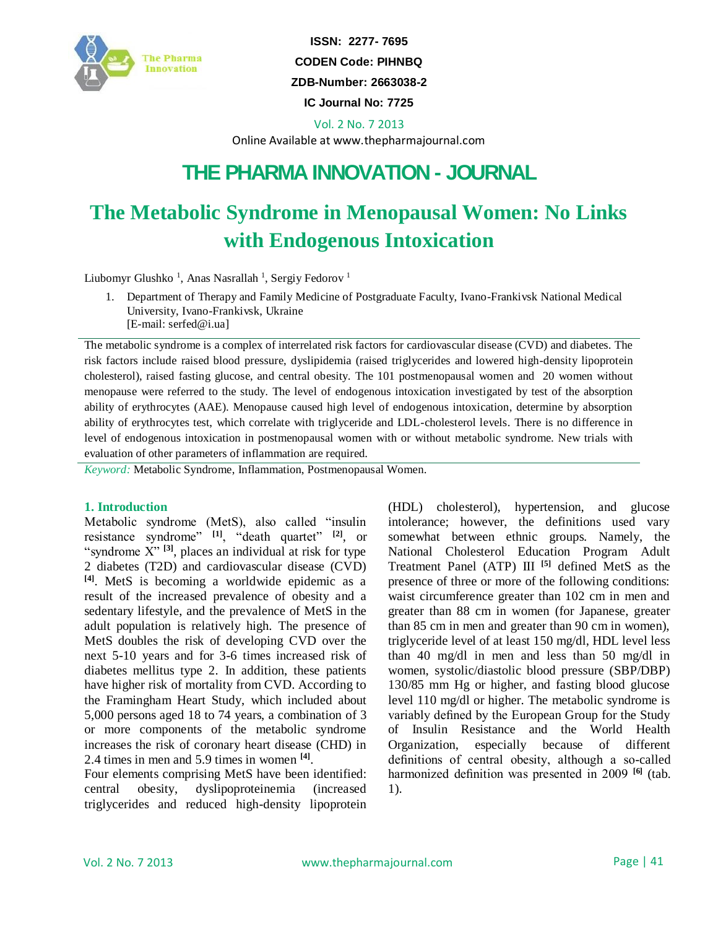

**ISSN: 2277- 7695 CODEN Code: PIHNBQ ZDB-Number: 2663038-2 IC Journal No: 7725** 

Vol. 2 No. 7 2013

Online Available at www.thepharmajournal.com

## **THE PHARMA INNOVATION - JOURNAL**

# **The Metabolic Syndrome in Menopausal Women: No Links with Endogenous Intoxication**

Liubomyr Glushko<sup>1</sup>, Anas Nasrallah<sup>1</sup>, Sergiy Fedorov<sup>1</sup>

- 1. Department of Therapy and Family Medicine of Postgraduate Faculty, Ivano-Frankivsk National Medical University, Ivano-Frankivsk, Ukraine
	- [E-mail: serfed@i.ua]

The metabolic syndrome is a complex of interrelated risk factors for cardiovascular disease (CVD) and diabetes. The risk factors include raised blood pressure, dyslipidemia (raised triglycerides and lowered high-density lipoprotein cholesterol), raised fasting glucose, and central obesity. The 101 postmenopausal women and 20 women without menopause were referred to the study. The level of endogenous intoxication investigated by test of the absorption ability of erythrocytes (AAE). Menopause caused high level of endogenous intoxication, determine by absorption ability of erythrocytes test, which correlate with triglyceride and LDL-cholesterol levels. There is no difference in level of endogenous intoxication in postmenopausal women with or without metabolic syndrome. New trials with evaluation of other parameters of inflammation are required.

*Keyword:* Metabolic Syndrome, Inflammation, Postmenopausal Women.

#### **1. Introduction**

Metabolic syndrome (MetS), also called "insulin resistance syndrome" **[1]**, "death quartet" **[2]**, or "syndrome X"<sup>[3]</sup>, places an individual at risk for type 2 diabetes (T2D) and cardiovascular disease (CVD) **[4]**. MetS is becoming a worldwide epidemic as a result of the increased prevalence of obesity and a sedentary lifestyle, and the prevalence of MetS in the adult population is relatively high. The presence of MetS doubles the risk of developing CVD over the next 5-10 years and for 3-6 times increased risk of diabetes mellitus type 2. In addition, these patients have higher risk of mortality from CVD. According to the Framingham Heart Study, which included about 5,000 persons aged 18 to 74 years, a combination of 3 or more components of the metabolic syndrome increases the risk of coronary heart disease (CHD) in 2.4 times in men and 5.9 times in women **[4]** .

Four elements comprising MetS have been identified: central obesity, dyslipoproteinemia (increased triglycerides and reduced high-density lipoprotein (HDL) cholesterol), hypertension, and glucose intolerance; however, the definitions used vary somewhat between ethnic groups. Namely, the National Cholesterol Education Program Adult Treatment Panel (ATP) III **[5]** defined MetS as the presence of three or more of the following conditions: waist circumference greater than 102 cm in men and greater than 88 cm in women (for Japanese, greater than 85 cm in men and greater than 90 cm in women), triglyceride level of at least 150 mg/dl, HDL level less than 40 mg/dl in men and less than 50 mg/dl in women, systolic/diastolic blood pressure (SBP/DBP) 130/85 mm Hg or higher, and fasting blood glucose level 110 mg/dl or higher. The metabolic syndrome is variably defined by the European Group for the Study of Insulin Resistance and the World Health Organization, especially because of different definitions of central obesity, although a so-called harmonized definition was presented in 2009 **[6]** (tab. 1).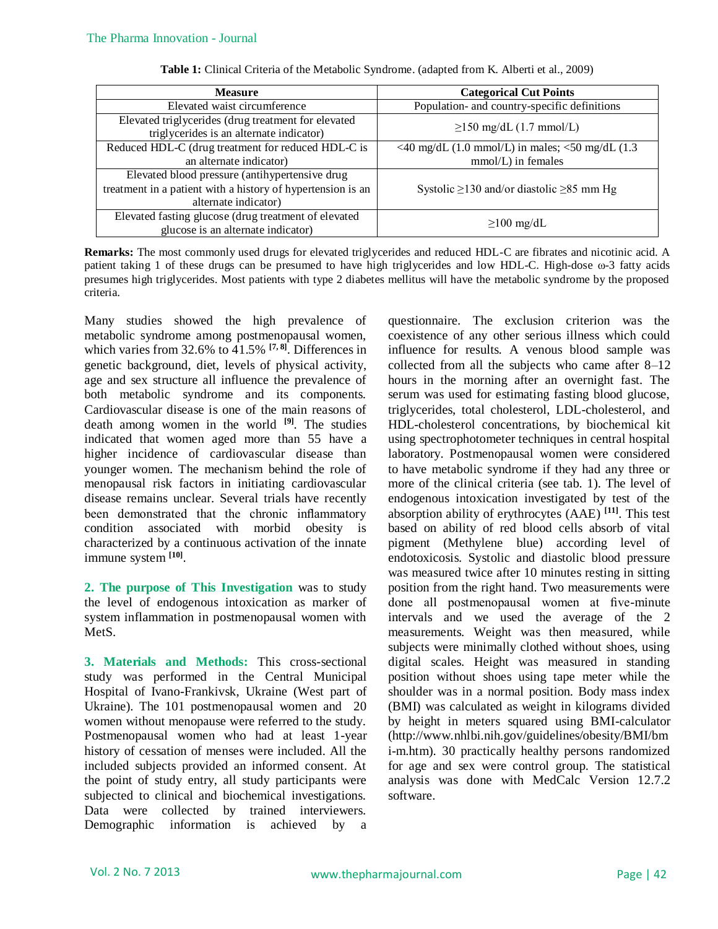| <b>Measure</b>                                                                                  | <b>Categorical Cut Points</b>                                               |  |  |
|-------------------------------------------------------------------------------------------------|-----------------------------------------------------------------------------|--|--|
| Elevated waist circumference                                                                    | Population- and country-specific definitions                                |  |  |
| Elevated triglycerides (drug treatment for elevated<br>triglycerides is an alternate indicator) | $\geq$ 150 mg/dL (1.7 mmol/L)                                               |  |  |
| Reduced HDL-C (drug treatment for reduced HDL-C is                                              | <40 mg/dL $(1.0 \text{ mmol/L})$ in males; <50 mg/dL $(1.3 \text{ mmol/L})$ |  |  |
| an alternate indicator)                                                                         | $mmol/L$ ) in females                                                       |  |  |
| Elevated blood pressure (antihypertensive drug                                                  |                                                                             |  |  |
| treatment in a patient with a history of hypertension is an                                     | Systolic $\geq$ 130 and/or diastolic $\geq$ 85 mm Hg                        |  |  |
| alternate indicator)                                                                            |                                                                             |  |  |
| Elevated fasting glucose (drug treatment of elevated<br>glucose is an alternate indicator)      | $\geq$ 100 mg/dL                                                            |  |  |
|                                                                                                 |                                                                             |  |  |

**Table 1:** Clinical Criteria of the Metabolic Syndrome. (adapted from K. Alberti et al., 2009)

**Remarks:** The most commonly used drugs for elevated triglycerides and reduced HDL-C are fibrates and nicotinic acid. A patient taking 1 of these drugs can be presumed to have high triglycerides and low HDL-C. High-dose ω-3 fatty acids presumes high triglycerides. Most patients with type 2 diabetes mellitus will have the metabolic syndrome by the proposed criteria.

Many studies showed the high prevalence of metabolic syndrome among postmenopausal women, which varies from 32.6% to 41.5% **[7, 8]**. Differences in genetic background, diet, levels of physical activity, age and sex structure all influence the prevalence of both metabolic syndrome and its components. Cardiovascular disease is one of the main reasons of death among women in the world **[9]** . The studies indicated that women aged more than 55 have a higher incidence of cardiovascular disease than younger women. The mechanism behind the role of menopausal risk factors in initiating cardiovascular disease remains unclear. Several trials have recently been demonstrated that the chronic inflammatory condition associated with morbid obesity is characterized by a continuous activation of the innate immune system **[10]** .

**2. The purpose of This Investigation** was to study the level of endogenous intoxication as marker of system inflammation in postmenopausal women with MetS.

**3. Materials and Methods:** This cross-sectional study was performed in the Central Municipal Hospital of Ivano-Frankivsk, Ukraine (West part of Ukraine). The 101 postmenopausal women and 20 women without menopause were referred to the study. Postmenopausal women who had at least 1-year history of cessation of menses were included. All the included subjects provided an informed consent. At the point of study entry, all study participants were subjected to clinical and biochemical investigations. Data were collected by trained interviewers. Demographic information is achieved by a questionnaire. The exclusion criterion was the coexistence of any other serious illness which could influence for results. A venous blood sample was collected from all the subjects who came after 8–12 hours in the morning after an overnight fast. The serum was used for estimating fasting blood glucose, triglycerides, total cholesterol, LDL-cholesterol, and HDL-cholesterol concentrations, by biochemical kit using spectrophotometer techniques in central hospital laboratory. Postmenopausal women were considered to have metabolic syndrome if they had any three or more of the clinical criteria (see tab. 1). The level of endogenous intoxication investigated by test of the absorption ability of erythrocytes (AAE) **[11]**. This test based on ability of red blood cells absorb of vital pigment (Methylene blue) according level of endotoxicosis. Systolic and diastolic blood pressure was measured twice after 10 minutes resting in sitting position from the right hand. Two measurements were done all postmenopausal women at five-minute intervals and we used the average of the 2 measurements. Weight was then measured, while subjects were minimally clothed without shoes, using digital scales. Height was measured in standing position without shoes using tape meter while the shoulder was in a normal position. Body mass index (BMI) was calculated as weight in kilograms divided by height in meters squared using BMI-calculator (http://www.nhlbi.nih.gov/guidelines/obesity/BMI/bm i-m.htm). 30 practically healthy persons randomized for age and sex were control group. The statistical analysis was done with MedCalc Version 12.7.2 software.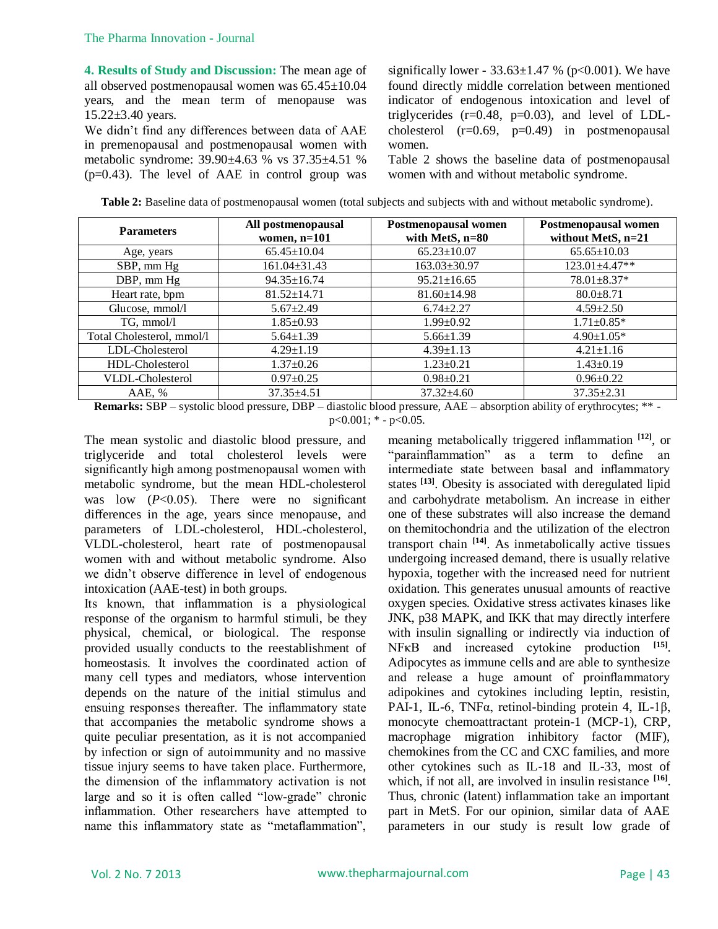**4. Results of Study and Discussion:** The mean age of all observed postmenopausal women was 65.45±10.04 years, and the mean term of menopause was 15.22±3.40 years.

We didn't find any differences between data of AAE in premenopausal and postmenopausal women with metabolic syndrome: 39.90±4.63 % vs 37.35±4.51 %  $(p=0.43)$ . The level of AAE in control group was significally lower -  $33.63 \pm 1.47$  % (p<0.001). We have found directly middle correlation between mentioned indicator of endogenous intoxication and level of triglycerides  $(r=0.48, p=0.03)$ , and level of LDLcholesterol  $(r=0.69, p=0.49)$  in postmenopausal women.

Table 2 shows the baseline data of postmenopausal women with and without metabolic syndrome.

| <b>Table 2:</b> Baseline data of postmenopausal women (total subjects and subjects with and without metabolic syndrome). |  |  |  |
|--------------------------------------------------------------------------------------------------------------------------|--|--|--|
|                                                                                                                          |  |  |  |

| <b>Parameters</b>         | All postmenopausal<br>women, $n=101$ | Postmenopausal women<br>with MetS, n=80 | Postmenopausal women<br>without MetS, n=21 |
|---------------------------|--------------------------------------|-----------------------------------------|--------------------------------------------|
| Age, years                | $65.45 \pm 10.04$                    | $65.23 \pm 10.07$                       | $65.65 \pm 10.03$                          |
| SBP, mm Hg                | $161.04 \pm 31.43$                   | $163.03 \pm 30.97$                      | $123.01 \pm 4.47**$                        |
| DBP, mm Hg                | $94.35 \pm 16.74$                    | $95.21 \pm 16.65$                       | $78.01 \pm 8.37*$                          |
| Heart rate, bpm           | $81.52 \pm 14.71$                    | $81.60 \pm 14.98$                       | $80.0 \pm 8.71$                            |
| Glucose, mmol/l           | $5.67 \pm 2.49$                      | $6.74 \pm 2.27$                         | $4.59 \pm 2.50$                            |
| TG, mmol/l                | $1.85 \pm 0.93$                      | $1.99 \pm 0.92$                         | $1.71 \pm 0.85*$                           |
| Total Cholesterol, mmol/l | $5.64 \pm 1.39$                      | $5.66 \pm 1.39$                         | $4.90 \pm 1.05*$                           |
| LDL-Cholesterol           | $4.29 \pm 1.19$                      | $4.39 \pm 1.13$                         | $4.21 \pm 1.16$                            |
| HDL-Cholesterol           | $1.37 \pm 0.26$                      | $1.23 \pm 0.21$                         | $1.43 \pm 0.19$                            |
| VLDL-Cholesterol          | $0.97 \pm 0.25$                      | $0.98 \pm 0.21$                         | $0.96 \pm 0.22$                            |
| AAE, %<br>.               | $37.35 \pm 4.51$                     | $37.32 \pm 4.60$                        | $37.35 \pm 2.31$                           |

**Remarks:** SBP – systolic blood pressure, DBP – diastolic blood pressure, AAE – absorption ability of erythrocytes; \*\*  $p<0.001$ ; \* -  $p<0.05$ .

The mean systolic and diastolic blood pressure, and triglyceride and total cholesterol levels were significantly high among postmenopausal women with metabolic syndrome, but the mean HDL-cholesterol was low  $(P<0.05)$ . There were no significant differences in the age, years since menopause, and parameters of LDL-cholesterol, HDL-cholesterol, VLDL-cholesterol, heart rate of postmenopausal women with and without metabolic syndrome. Also we didn't observe difference in level of endogenous intoxication (AAE-test) in both groups.

Its known, that inflammation is a physiological response of the organism to harmful stimuli, be they physical, chemical, or biological. The response provided usually conducts to the reestablishment of homeostasis. It involves the coordinated action of many cell types and mediators, whose intervention depends on the nature of the initial stimulus and ensuing responses thereafter. The inflammatory state that accompanies the metabolic syndrome shows a quite peculiar presentation, as it is not accompanied by infection or sign of autoimmunity and no massive tissue injury seems to have taken place. Furthermore, the dimension of the inflammatory activation is not large and so it is often called "low-grade" chronic inflammation. Other researchers have attempted to name this inflammatory state as "metaflammation", meaning metabolically triggered inflammation **[12]**, or "parainflammation" as a term to define an intermediate state between basal and inflammatory states **[13]**. Obesity is associated with deregulated lipid and carbohydrate metabolism. An increase in either one of these substrates will also increase the demand on themitochondria and the utilization of the electron transport chain **[14]**. As inmetabolically active tissues undergoing increased demand, there is usually relative hypoxia, together with the increased need for nutrient oxidation. This generates unusual amounts of reactive oxygen species. Oxidative stress activates kinases like JNK, p38 MAPK, and IKK that may directly interfere with insulin signalling or indirectly via induction of NF<sub>K</sub>B and increased cytokine production <sup>[15]</sup>. Adipocytes as immune cells and are able to synthesize and release a huge amount of proinflammatory adipokines and cytokines including leptin, resistin, PAI-1, IL-6, TNFα, retinol-binding protein 4, IL-1β, monocyte chemoattractant protein-1 (MCP-1), CRP, macrophage migration inhibitory factor (MIF), chemokines from the CC and CXC families, and more other cytokines such as IL-18 and IL-33, most of which, if not all, are involved in insulin resistance <sup>[16]</sup>. Thus, chronic (latent) inflammation take an important part in MetS. For our opinion, similar data of AAE parameters in our study is result low grade of